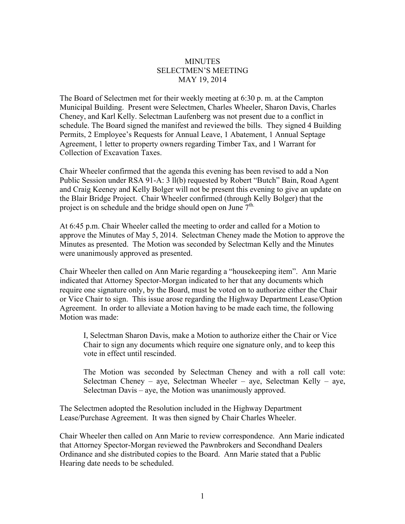## **MINUTES** SELECTMEN'S MEETING MAY 19, 2014

The Board of Selectmen met for their weekly meeting at 6:30 p. m. at the Campton Municipal Building. Present were Selectmen, Charles Wheeler, Sharon Davis, Charles Cheney, and Karl Kelly. Selectman Laufenberg was not present due to a conflict in schedule. The Board signed the manifest and reviewed the bills. They signed 4 Building Permits, 2 Employee's Requests for Annual Leave, 1 Abatement, 1 Annual Septage Agreement, 1 letter to property owners regarding Timber Tax, and 1 Warrant for Collection of Excavation Taxes.

Chair Wheeler confirmed that the agenda this evening has been revised to add a Non Public Session under RSA 91-A: 3 ll(b) requested by Robert "Butch" Bain, Road Agent and Craig Keeney and Kelly Bolger will not be present this evening to give an update on the Blair Bridge Project. Chair Wheeler confirmed (through Kelly Bolger) that the project is on schedule and the bridge should open on June  $7<sup>th</sup>$ .

At 6:45 p.m. Chair Wheeler called the meeting to order and called for a Motion to approve the Minutes of May 5, 2014. Selectman Cheney made the Motion to approve the Minutes as presented. The Motion was seconded by Selectman Kelly and the Minutes were unanimously approved as presented.

Chair Wheeler then called on Ann Marie regarding a "housekeeping item". Ann Marie indicated that Attorney Spector-Morgan indicated to her that any documents which require one signature only, by the Board, must be voted on to authorize either the Chair or Vice Chair to sign. This issue arose regarding the Highway Department Lease/Option Agreement. In order to alleviate a Motion having to be made each time, the following Motion was made:

I, Selectman Sharon Davis, make a Motion to authorize either the Chair or Vice Chair to sign any documents which require one signature only, and to keep this vote in effect until rescinded.

The Motion was seconded by Selectman Cheney and with a roll call vote: Selectman Cheney – aye, Selectman Wheeler – aye, Selectman Kelly – aye, Selectman Davis – aye, the Motion was unanimously approved.

The Selectmen adopted the Resolution included in the Highway Department Lease/Purchase Agreement. It was then signed by Chair Charles Wheeler.

Chair Wheeler then called on Ann Marie to review correspondence. Ann Marie indicated that Attorney Spector-Morgan reviewed the Pawnbrokers and Secondhand Dealers Ordinance and she distributed copies to the Board. Ann Marie stated that a Public Hearing date needs to be scheduled.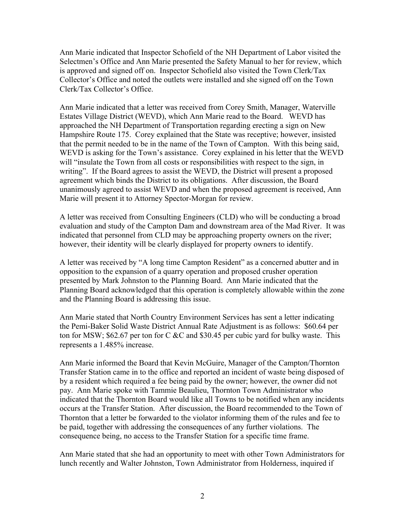Ann Marie indicated that Inspector Schofield of the NH Department of Labor visited the Selectmen's Office and Ann Marie presented the Safety Manual to her for review, which is approved and signed off on. Inspector Schofield also visited the Town Clerk/Tax Collector's Office and noted the outlets were installed and she signed off on the Town Clerk/Tax Collector's Office.

Ann Marie indicated that a letter was received from Corey Smith, Manager, Waterville Estates Village District (WEVD), which Ann Marie read to the Board. WEVD has approached the NH Department of Transportation regarding erecting a sign on New Hampshire Route 175. Corey explained that the State was receptive; however, insisted that the permit needed to be in the name of the Town of Campton. With this being said, WEVD is asking for the Town's assistance. Corey explained in his letter that the WEVD will "insulate the Town from all costs or responsibilities with respect to the sign, in writing". If the Board agrees to assist the WEVD, the District will present a proposed agreement which binds the District to its obligations. After discussion, the Board unanimously agreed to assist WEVD and when the proposed agreement is received, Ann Marie will present it to Attorney Spector-Morgan for review.

A letter was received from Consulting Engineers (CLD) who will be conducting a broad evaluation and study of the Campton Dam and downstream area of the Mad River. It was indicated that personnel from CLD may be approaching property owners on the river; however, their identity will be clearly displayed for property owners to identify.

A letter was received by "A long time Campton Resident" as a concerned abutter and in opposition to the expansion of a quarry operation and proposed crusher operation presented by Mark Johnston to the Planning Board. Ann Marie indicated that the Planning Board acknowledged that this operation is completely allowable within the zone and the Planning Board is addressing this issue.

Ann Marie stated that North Country Environment Services has sent a letter indicating the Pemi-Baker Solid Waste District Annual Rate Adjustment is as follows: \$60.64 per ton for MSW; \$62.67 per ton for C  $\&C$  and \$30.45 per cubic vard for bulky waste. This represents a 1.485% increase.

Ann Marie informed the Board that Kevin McGuire, Manager of the Campton/Thornton Transfer Station came in to the office and reported an incident of waste being disposed of by a resident which required a fee being paid by the owner; however, the owner did not pay. Ann Marie spoke with Tammie Beaulieu, Thornton Town Administrator who indicated that the Thornton Board would like all Towns to be notified when any incidents occurs at the Transfer Station. After discussion, the Board recommended to the Town of Thornton that a letter be forwarded to the violator informing them of the rules and fee to be paid, together with addressing the consequences of any further violations. The consequence being, no access to the Transfer Station for a specific time frame.

Ann Marie stated that she had an opportunity to meet with other Town Administrators for lunch recently and Walter Johnston, Town Administrator from Holderness, inquired if